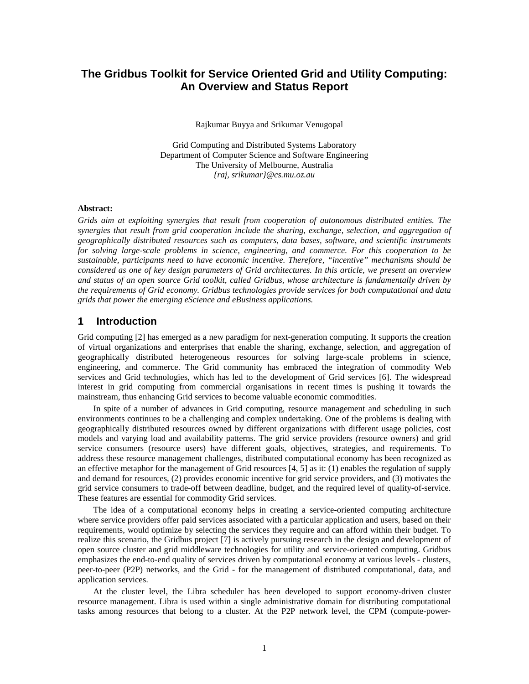# **The Gridbus Toolkit for Service Oriented Grid and Utility Computing: An Overview and Status Report**

Rajkumar Buyya and Srikumar Venugopal

Grid Computing and Distributed Systems Laboratory Department of Computer Science and Software Engineering The University of Melbourne, Australia *{raj, srikumar}@cs.mu.oz.au*

#### **Abstract:**

*Grids aim at exploiting synergies that result from cooperation of autonomous distributed entities. The synergies that result from grid cooperation include the sharing, exchange, selection, and aggregation of geographically distributed resources such as computers, data bases, software, and scientific instruments for solving large-scale problems in science, engineering, and commerce. For this cooperation to be sustainable, participants need to have economic incentive. Therefore, "incentive" mechanisms should be considered as one of key design parameters of Grid architectures. In this article, we present an overview and status of an open source Grid toolkit, called Gridbus, whose architecture is fundamentally driven by the requirements of Grid economy. Gridbus technologies provide services for both computational and data grids that power the emerging eScience and eBusiness applications.*

#### **1 Introduction**

Grid computing [2] has emerged as a new paradigm for next-generation computing. It supports the creation of virtual organizations and enterprises that enable the sharing, exchange, selection, and aggregation of geographically distributed heterogeneous resources for solving large-scale problems in science, engineering, and commerce. The Grid community has embraced the integration of commodity Web services and Grid technologies, which has led to the development of Grid services [6]. The widespread interest in grid computing from commercial organisations in recent times is pushing it towards the mainstream, thus enhancing Grid services to become valuable economic commodities.

In spite of a number of advances in Grid computing, resource management and scheduling in such environments continues to be a challenging and complex undertaking. One of the problems is dealing with geographically distributed resources owned by different organizations with different usage policies, cost models and varying load and availability patterns. The grid service providers *(*resource owners) and grid service consumers (resource users) have different goals, objectives, strategies, and requirements. To address these resource management challenges, distributed computational economy has been recognized as an effective metaphor for the management of Grid resources [4, 5] as it: (1) enables the regulation of supply and demand for resources, (2) provides economic incentive for grid service providers, and (3) motivates the grid service consumers to trade-off between deadline, budget, and the required level of quality-of-service. These features are essential for commodity Grid services.

The idea of a computational economy helps in creating a service-oriented computing architecture where service providers offer paid services associated with a particular application and users, based on their requirements, would optimize by selecting the services they require and can afford within their budget. To realize this scenario, the Gridbus project [7] is actively pursuing research in the design and development of open source cluster and grid middleware technologies for utility and service-oriented computing. Gridbus emphasizes the end-to-end quality of services driven by computational economy at various levels - clusters, peer-to-peer (P2P) networks, and the Grid - for the management of distributed computational, data, and application services.

At the cluster level, the Libra scheduler has been developed to support economy-driven cluster resource management. Libra is used within a single administrative domain for distributing computational tasks among resources that belong to a cluster. At the P2P network level, the CPM (compute-power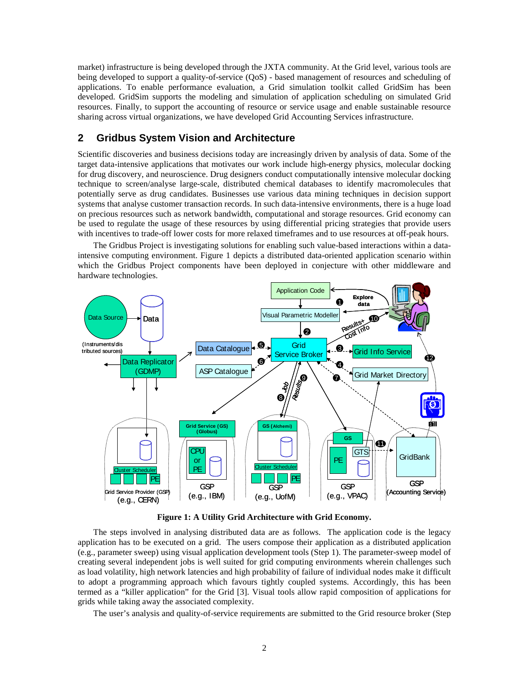market) infrastructure is being developed through the JXTA community. At the Grid level, various tools are being developed to support a quality-of-service (QoS) - based management of resources and scheduling of applications. To enable performance evaluation, a Grid simulation toolkit called GridSim has been developed. GridSim supports the modeling and simulation of application scheduling on simulated Grid resources. Finally, to support the accounting of resource or service usage and enable sustainable resource sharing across virtual organizations, we have developed Grid Accounting Services infrastructure.

### **2 Gridbus System Vision and Architecture**

Scientific discoveries and business decisions today are increasingly driven by analysis of data. Some of the target data-intensive applications that motivates our work include high-energy physics, molecular docking for drug discovery, and neuroscience. Drug designers conduct computationally intensive molecular docking technique to screen/analyse large-scale, distributed chemical databases to identify macromolecules that potentially serve as drug candidates. Businesses use various data mining techniques in decision support systems that analyse customer transaction records. In such data-intensive environments, there is a huge load on precious resources such as network bandwidth, computational and storage resources. Grid economy can be used to regulate the usage of these resources by using differential pricing strategies that provide users with incentives to trade-off lower costs for more relaxed timeframes and to use resources at off-peak hours.

The Gridbus Project is investigating solutions for enabling such value-based interactions within a dataintensive computing environment. Figure 1 depicts a distributed data-oriented application scenario within which the Gridbus Project components have been deployed in conjecture with other middleware and hardware technologies.



**Figure 1: A Utility Grid Architecture with Grid Economy.**

The steps involved in analysing distributed data are as follows. The application code is the legacy application has to be executed on a grid. The users compose their application as a distributed application (e.g., parameter sweep) using visual application development tools (Step 1). The parameter-sweep model of creating several independent jobs is well suited for grid computing environments wherein challenges such as load volatility, high network latencies and high probability of failure of individual nodes make it difficult to adopt a programming approach which favours tightly coupled systems. Accordingly, this has been termed as a "killer application" for the Grid [3]. Visual tools allow rapid composition of applications for grids while taking away the associated complexity.

The user's analysis and quality-of-service requirements are submitted to the Grid resource broker (Step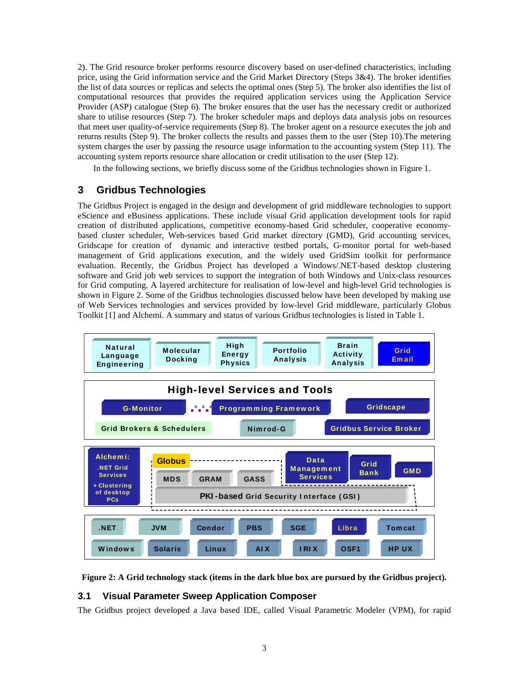2). The Grid resource broker performs resource discovery based on user-defined characteristics, including price, using the Grid information service and the Grid Market Directory (Steps 3&4). The broker identifies the list of data sources or replicas and selects the optimal ones (Step 5). The broker also identifies the list of computational resources that provides the required application services using the Application Service Provider (ASP) catalogue (Step 6). The broker ensures that the user has the necessary credit or authorized share to utilise resources (Step 7). The broker scheduler maps and deploys data analysis jobs on resources that meet user quality-of-service requirements (Step 8). The broker agent on a resource executes the job and returns results (Step 9). The broker collects the results and passes them to the user (Step 10).The metering system charges the user by passing the resource usage information to the accounting system (Step 11). The accounting system reports resource share allocation or credit utilisation to the user (Step 12).

In the following sections, we briefly discuss some of the Gridbus technologies shown in Figure 1.

## **3 Gridbus Technologies**

The Gridbus Project is engaged in the design and development of grid middleware technologies to support eScience and eBusiness applications. These include visual Grid application development tools for rapid creation of distributed applications, competitive economy-based Grid scheduler, cooperative economybased cluster scheduler, Web-services based Grid market directory (GMD), Grid accounting services, Gridscape for creation of dynamic and interactive testbed portals, G-monitor portal for web-based management of Grid applications execution, and the widely used GridSim toolkit for performance evaluation. Recently, the Gridbus Project has developed a Windows/.NET-based desktop clustering software and Grid job web services to support the integration of both Windows and Unix-class resources for Grid computing. A layered architecture for realisation of low-level and high-level Grid technologies is shown in Figure 2. Some of the Gridbus technologies discussed below have been developed by making use of Web Services technologies and services provided by low-level Grid middleware, particularly Globus Toolkit [1] and Alchemi. A summary and status of various Gridbus technologies is listed in Table 1.





#### **3.1 Visual Parameter Sweep Application Composer**

The Gridbus project developed a Java based IDE, called Visual Parametric Modeler (VPM), for rapid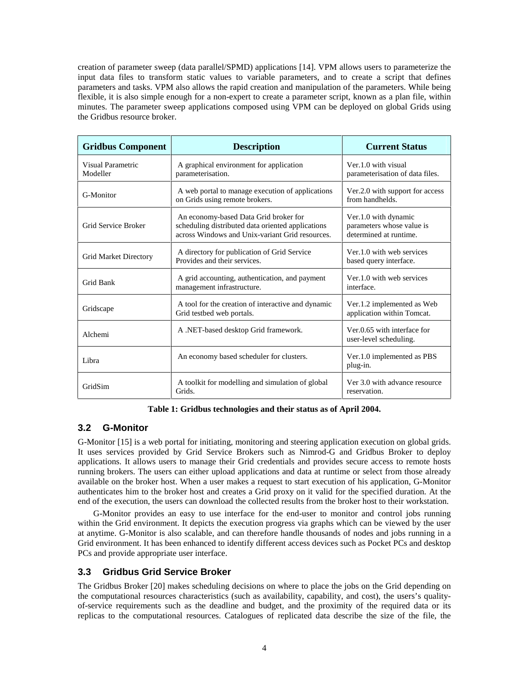creation of parameter sweep (data parallel/SPMD) applications [14]. VPM allows users to parameterize the input data files to transform static values to variable parameters, and to create a script that defines parameters and tasks. VPM also allows the rapid creation and manipulation of the parameters. While being flexible, it is also simple enough for a non-expert to create a parameter script, known as a plan file, within minutes. The parameter sweep applications composed using VPM can be deployed on global Grids using the Gridbus resource broker.

| <b>Gridbus Component</b>      | <b>Description</b>                                                                                                                            | <b>Current Status</b>                                                       |
|-------------------------------|-----------------------------------------------------------------------------------------------------------------------------------------------|-----------------------------------------------------------------------------|
| Visual Parametric<br>Modeller | A graphical environment for application<br>parameterisation.                                                                                  | Ver.1.0 with visual<br>parameterisation of data files.                      |
| G-Monitor                     | A web portal to manage execution of applications<br>on Grids using remote brokers.                                                            | Ver.2.0 with support for access<br>from handhelds.                          |
| Grid Service Broker           | An economy-based Data Grid broker for<br>scheduling distributed data oriented applications<br>across Windows and Unix-variant Grid resources. | Ver.1.0 with dynamic<br>parameters whose value is<br>determined at runtime. |
| <b>Grid Market Directory</b>  | A directory for publication of Grid Service<br>Provides and their services.                                                                   | Ver.1.0 with web services<br>based query interface.                         |
| Grid Bank                     | A grid accounting, authentication, and payment<br>management infrastructure.                                                                  | Ver.1.0 with web services<br>interface.                                     |
| Gridscape                     | A tool for the creation of interactive and dynamic<br>Grid testbed web portals.                                                               | Ver.1.2 implemented as Web<br>application within Tomcat.                    |
| Alchemi                       | A .NET-based desktop Grid framework.                                                                                                          | Ver.0.65 with interface for<br>user-level scheduling.                       |
| Libra                         | An economy based scheduler for clusters.                                                                                                      | Ver.1.0 implemented as PBS<br>plug-in.                                      |
| GridSim                       | A toolkit for modelling and simulation of global<br>Grids.                                                                                    | Ver 3.0 with advance resource<br>reservation.                               |

**Table 1: Gridbus technologies and their status as of April 2004.**

## **3.2 G-Monitor**

G-Monitor [15] is a web portal for initiating, monitoring and steering application execution on global grids. It uses services provided by Grid Service Brokers such as Nimrod-G and Gridbus Broker to deploy applications. It allows users to manage their Grid credentials and provides secure access to remote hosts running brokers. The users can either upload applications and data at runtime or select from those already available on the broker host. When a user makes a request to start execution of his application, G-Monitor authenticates him to the broker host and creates a Grid proxy on it valid for the specified duration. At the end of the execution, the users can download the collected results from the broker host to their workstation.

G-Monitor provides an easy to use interface for the end-user to monitor and control jobs running within the Grid environment. It depicts the execution progress via graphs which can be viewed by the user at anytime. G-Monitor is also scalable, and can therefore handle thousands of nodes and jobs running in a Grid environment. It has been enhanced to identify different access devices such as Pocket PCs and desktop PCs and provide appropriate user interface.

## **3.3 Gridbus Grid Service Broker**

The Gridbus Broker [20] makes scheduling decisions on where to place the jobs on the Grid depending on the computational resources characteristics (such as availability, capability, and cost), the users's qualityof-service requirements such as the deadline and budget, and the proximity of the required data or its replicas to the computational resources. Catalogues of replicated data describe the size of the file, the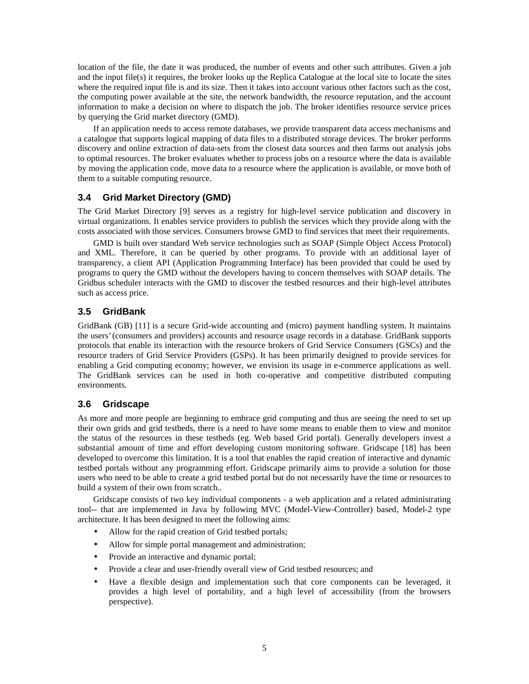location of the file, the date it was produced, the number of events and other such attributes. Given a job and the input file(s) it requires, the broker looks up the Replica Catalogue at the local site to locate the sites where the required input file is and its size. Then it takes into account various other factors such as the cost, the computing power available at the site, the network bandwidth, the resource reputation, and the account information to make a decision on where to dispatch the job. The broker identifies resource service prices by querying the Grid market directory (GMD).

If an application needs to access remote databases, we provide transparent data access mechanisms and a catalogue that supports logical mapping of data files to a distributed storage devices. The broker performs discovery and online extraction of data-sets from the closest data sources and then farms out analysis jobs to optimal resources. The broker evaluates whether to process jobs on a resource where the data is available by moving the application code, move data to a resource where the application is available, or move both of them to a suitable computing resource.

## **3.4 Grid Market Directory (GMD)**

The Grid Market Directory [9] serves as a registry for high-level service publication and discovery in virtual organizations. It enables service providers to publish the services which they provide along with the costs associated with those services. Consumers browse GMD to find services that meet their requirements.

GMD is built over standard Web service technologies such as SOAP (Simple Object Access Protocol) and XML. Therefore, it can be queried by other programs. To provide with an additional layer of transparency, a client API (Application Programming Interface) has been provided that could be used by programs to query the GMD without the developers having to concern themselves with SOAP details. The Gridbus scheduler interacts with the GMD to discover the testbed resources and their high-level attributes such as access price.

## **3.5 GridBank**

GridBank (GB) [11] is a secure Grid-wide accounting and (micro) payment handling system. It maintains the users'(consumers and providers) accounts and resource usage records in a database. GridBank supports protocols that enable its interaction with the resource brokers of Grid Service Consumers (GSCs) and the resource traders of Grid Service Providers (GSPs). It has been primarily designed to provide services for enabling a Grid computing economy; however, we envision its usage in e-commerce applications as well. The GridBank services can be used in both co-operative and competitive distributed computing environments.

## **3.6 Gridscape**

As more and more people are beginning to embrace grid computing and thus are seeing the need to set up their own grids and grid testbeds, there is a need to have some means to enable them to view and monitor the status of the resources in these testbeds (eg. Web based Grid portal). Generally developers invest a substantial amount of time and effort developing custom monitoring software. Gridscape [18] has been developed to overcome this limitation. It is a tool that enables the rapid creation of interactive and dynamic testbed portals without any programming effort. Gridscape primarily aims to provide a solution for those users who need to be able to create a grid testbed portal but do not necessarily have the time or resources to build a system of their own from scratch..

Gridscape consists of two key individual components - a web application and a related administrating tool-- that are implemented in Java by following MVC (Model-View-Controller) based, Model-2 type architecture. It has been designed to meet the following aims:

- Allow for the rapid creation of Grid testbed portals;
- Allow for simple portal management and administration;
- Provide an interactive and dynamic portal;
- Provide a clear and user-friendly overall view of Grid testbed resources; and
- Have a flexible design and implementation such that core components can be leveraged, it provides a high level of portability, and a high level of accessibility (from the browsers perspective).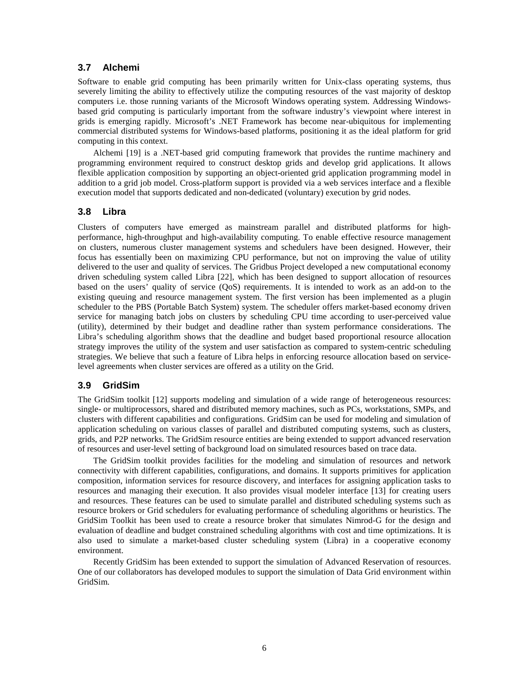### **3.7 Alchemi**

Software to enable grid computing has been primarily written for Unix-class operating systems, thus severely limiting the ability to effectively utilize the computing resources of the vast majority of desktop computers i.e. those running variants of the Microsoft Windows operating system. Addressing Windowsbased grid computing is particularly important from the software industry's viewpoint where interest in grids is emerging rapidly. Microsoft's .NET Framework has become near-ubiquitous for implementing commercial distributed systems for Windows-based platforms, positioning it as the ideal platform for grid computing in this context.

Alchemi [19] is a .NET-based grid computing framework that provides the runtime machinery and programming environment required to construct desktop grids and develop grid applications. It allows flexible application composition by supporting an object-oriented grid application programming model in addition to a grid job model. Cross-platform support is provided via a web services interface and a flexible execution model that supports dedicated and non-dedicated (voluntary) execution by grid nodes.

### **3.8 Libra**

Clusters of computers have emerged as mainstream parallel and distributed platforms for highperformance, high-throughput and high-availability computing. To enable effective resource management on clusters, numerous cluster management systems and schedulers have been designed. However, their focus has essentially been on maximizing CPU performance, but not on improving the value of utility delivered to the user and quality of services. The Gridbus Project developed a new computational economy driven scheduling system called Libra [22], which has been designed to support allocation of resources based on the users' quality of service (QoS) requirements. It is intended to work as an add-on to the existing queuing and resource management system. The first version has been implemented as a plugin scheduler to the PBS (Portable Batch System) system. The scheduler offers market-based economy driven service for managing batch jobs on clusters by scheduling CPU time according to user-perceived value (utility), determined by their budget and deadline rather than system performance considerations. The Libra's scheduling algorithm shows that the deadline and budget based proportional resource allocation strategy improves the utility of the system and user satisfaction as compared to system-centric scheduling strategies. We believe that such a feature of Libra helps in enforcing resource allocation based on servicelevel agreements when cluster services are offered as a utility on the Grid.

#### **3.9 GridSim**

The GridSim toolkit [12] supports modeling and simulation of a wide range of heterogeneous resources: single- or multiprocessors, shared and distributed memory machines, such as PCs, workstations, SMPs, and clusters with different capabilities and configurations. GridSim can be used for modeling and simulation of application scheduling on various classes of parallel and distributed computing systems, such as clusters, grids, and P2P networks. The GridSim resource entities are being extended to support advanced reservation of resources and user-level setting of background load on simulated resources based on trace data.

The GridSim toolkit provides facilities for the modeling and simulation of resources and network connectivity with different capabilities, configurations, and domains. It supports primitives for application composition, information services for resource discovery, and interfaces for assigning application tasks to resources and managing their execution. It also provides visual modeler interface [13] for creating users and resources. These features can be used to simulate parallel and distributed scheduling systems such as resource brokers or Grid schedulers for evaluating performance of scheduling algorithms or heuristics. The GridSim Toolkit has been used to create a resource broker that simulates Nimrod-G for the design and evaluation of deadline and budget constrained scheduling algorithms with cost and time optimizations. It is also used to simulate a market-based cluster scheduling system (Libra) in a cooperative economy environment.

Recently GridSim has been extended to support the simulation of Advanced Reservation of resources. One of our collaborators has developed modules to support the simulation of Data Grid environment within GridSim.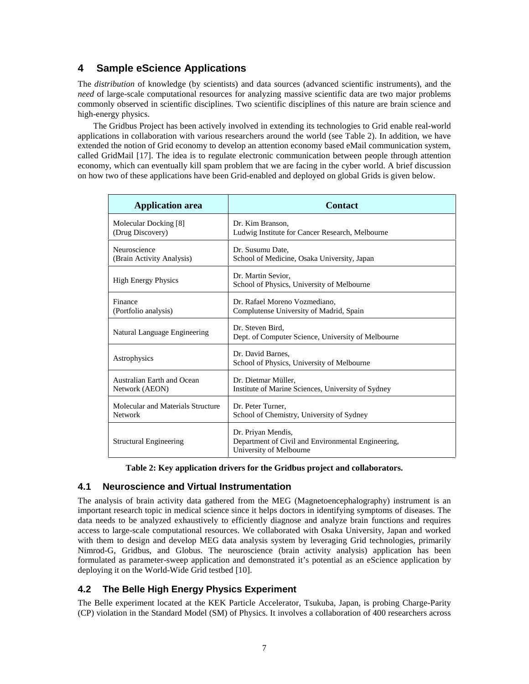# **4 Sample eScience Applications**

The *distribution* of knowledge (by scientists) and data sources (advanced scientific instruments), and the *need* of large-scale computational resources for analyzing massive scientific data are two major problems commonly observed in scientific disciplines. Two scientific disciplines of this nature are brain science and high-energy physics.

The Gridbus Project has been actively involved in extending its technologies to Grid enable real-world applications in collaboration with various researchers around the world (see Table 2). In addition, we have extended the notion of Grid economy to develop an attention economy based eMail communication system, called GridMail [17]. The idea is to regulate electronic communication between people through attention economy, which can eventually kill spam problem that we are facing in the cyber world. A brief discussion on how two of these applications have been Grid-enabled and deployed on global Grids is given below.

| <b>Application area</b>           | <b>Contact</b>                                                                                      |  |  |
|-----------------------------------|-----------------------------------------------------------------------------------------------------|--|--|
| Molecular Docking [8]             | Dr. Kim Branson.                                                                                    |  |  |
| (Drug Discovery)                  | Ludwig Institute for Cancer Research, Melbourne                                                     |  |  |
| Neuroscience                      | Dr. Susumu Date,                                                                                    |  |  |
| (Brain Activity Analysis)         | School of Medicine, Osaka University, Japan                                                         |  |  |
| <b>High Energy Physics</b>        | Dr. Martin Sevior,<br>School of Physics, University of Melbourne                                    |  |  |
| Finance                           | Dr. Rafael Moreno Vozmediano,                                                                       |  |  |
| (Portfolio analysis)              | Complutense University of Madrid, Spain                                                             |  |  |
| Natural Language Engineering      | Dr. Steven Bird.<br>Dept. of Computer Science, University of Melbourne                              |  |  |
| Astrophysics                      | Dr. David Barnes,<br>School of Physics, University of Melbourne                                     |  |  |
| <b>Australian Earth and Ocean</b> | Dr. Dietmar Müller,                                                                                 |  |  |
| Network (AEON)                    | Institute of Marine Sciences, University of Sydney                                                  |  |  |
| Molecular and Materials Structure | Dr. Peter Turner,                                                                                   |  |  |
| <b>Network</b>                    | School of Chemistry, University of Sydney                                                           |  |  |
| <b>Structural Engineering</b>     | Dr. Priyan Mendis,<br>Department of Civil and Environmental Engineering,<br>University of Melbourne |  |  |

| Table 2: Key application drivers for the Gridbus project and collaborators. |  |  |  |
|-----------------------------------------------------------------------------|--|--|--|
|-----------------------------------------------------------------------------|--|--|--|

## **4.1 Neuroscience and Virtual Instrumentation**

The analysis of brain activity data gathered from the MEG (Magnetoencephalography) instrument is an important research topic in medical science since it helps doctors in identifying symptoms of diseases. The data needs to be analyzed exhaustively to efficiently diagnose and analyze brain functions and requires access to large-scale computational resources. We collaborated with Osaka University, Japan and worked with them to design and develop MEG data analysis system by leveraging Grid technologies, primarily Nimrod-G, Gridbus, and Globus. The neuroscience (brain activity analysis) application has been formulated as parameter-sweep application and demonstrated it's potential as an eScience application by deploying it on the World-Wide Grid testbed [10].

## **4.2 The Belle High Energy Physics Experiment**

The Belle experiment located at the KEK Particle Accelerator, Tsukuba, Japan, is probing Charge-Parity (CP) violation in the Standard Model (SM) of Physics. It involves a collaboration of 400 researchers across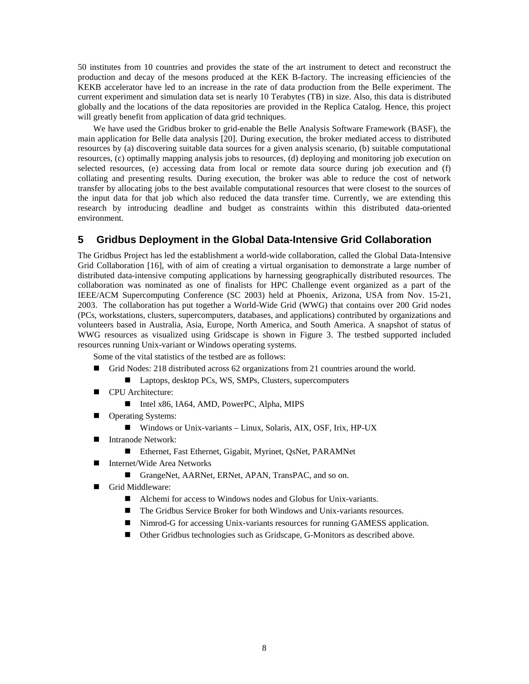50 institutes from 10 countries and provides the state of the art instrument to detect and reconstruct the production and decay of the mesons produced at the KEK B-factory. The increasing efficiencies of the KEKB accelerator have led to an increase in the rate of data production from the Belle experiment. The current experiment and simulation data set is nearly 10 Terabytes (TB) in size. Also, this data is distributed globally and the locations of the data repositories are provided in the Replica Catalog. Hence, this project will greatly benefit from application of data grid techniques.

We have used the Gridbus broker to grid-enable the Belle Analysis Software Framework (BASF), the main application for Belle data analysis [20]. During execution, the broker mediated access to distributed resources by (a) discovering suitable data sources for a given analysis scenario, (b) suitable computational resources, (c) optimally mapping analysis jobs to resources, (d) deploying and monitoring job execution on selected resources, (e) accessing data from local or remote data source during job execution and (f) collating and presenting results*.* During execution, the broker was able to reduce the cost of network transfer by allocating jobs to the best available computational resources that were closest to the sources of the input data for that job which also reduced the data transfer time. Currently, we are extending this research by introducing deadline and budget as constraints within this distributed data-oriented environment.

## **5 Gridbus Deployment in the Global Data-Intensive Grid Collaboration**

The Gridbus Project has led the establishment a world-wide collaboration, called the Global Data-Intensive Grid Collaboration [16], with of aim of creating a virtual organisation to demonstrate a large number of distributed data-intensive computing applications by harnessing geographically distributed resources. The collaboration was nominated as one of finalists for HPC Challenge event organized as a part of the IEEE/ACM Supercomputing Conference (SC 2003) held at Phoenix, Arizona, USA from Nov. 15-21, 2003. The collaboration has put together a World-Wide Grid (WWG) that contains over 200 Grid nodes (PCs, workstations, clusters, supercomputers, databases, and applications) contributed by organizations and volunteers based in Australia, Asia, Europe, North America, and South America. A snapshot of status of WWG resources as visualized using Gridscape is shown in Figure 3. The testbed supported included resources running Unix-variant or Windows operating systems.

Some of the vital statistics of the testbed are as follows:

- Grid Nodes: 218 distributed across 62 organizations from 21 countries around the world.
	- Laptops, desktop PCs, WS, SMPs, Clusters, supercomputers
- CPU Architecture:
	- Intel x86, IA64, AMD, PowerPC, Alpha, MIPS
- Operating Systems:
	- Windows or Unix-variants Linux, Solaris, AIX, OSF, Irix, HP-UX
- **Intranode Network:** 
	- Ethernet, Fast Ethernet, Gigabit, Myrinet, QsNet, PARAMNet
- Internet/Wide Area Networks
	- GrangeNet, AARNet, ERNet, APAN, TransPAC, and so on.
- Grid Middleware:
	- Alchemi for access to Windows nodes and Globus for Unix-variants.
	- The Gridbus Service Broker for both Windows and Unix-variants resources.
	- Nimrod-G for accessing Unix-variants resources for running GAMESS application.
	- Other Gridbus technologies such as Gridscape, G-Monitors as described above.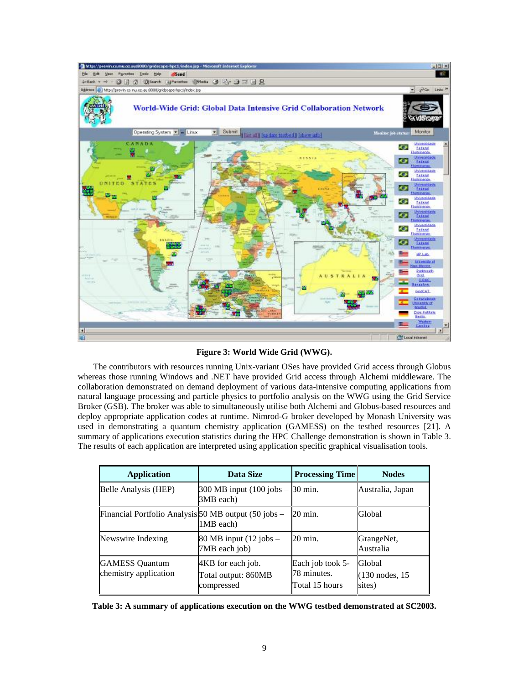

**Figure 3: World Wide Grid (WWG).**

The contributors with resources running Unix-variant OSes have provided Grid access through Globus whereas those running Windows and .NET have provided Grid access through Alchemi middleware. The collaboration demonstrated on demand deployment of various data-intensive computing applications from natural language processing and particle physics to portfolio analysis on the WWG using the Grid Service Broker (GSB). The broker was able to simultaneously utilise both Alchemi and Globus-based resources and deploy appropriate application codes at runtime. Nimrod-G broker developed by Monash University was used in demonstrating a quantum chemistry application (GAMESS) on the testbed resources [21]. A summary of applications execution statistics during the HPC Challenge demonstration is shown in Table 3. The results of each application are interpreted using application specific graphical visualisation tools.

| <b>Application</b>                                   | Data Size                                                                   | <b>Processing Time</b>                            | <b>Nodes</b>                         |
|------------------------------------------------------|-----------------------------------------------------------------------------|---------------------------------------------------|--------------------------------------|
| Belle Analysis (HEP)                                 | $300 \text{ MB}$ input $(100 \text{ jobs} - 30 \text{ min})$ .<br>3MB each) |                                                   | Australia, Japan                     |
| Financial Portfolio Analysis 50 MB output (50 jobs – | 1MB each)                                                                   | 20 min.                                           | Global                               |
| Newswire Indexing                                    | 80 MB input $(12$ jobs –<br>7MB each job)                                   | 20 min.                                           | GrangeNet,<br>Australia              |
| <b>GAMESS Quantum</b><br>chemistry application       | 4KB for each job.<br>Total output: 860MB<br>compressed                      | Each job took 5-<br>78 minutes.<br>Total 15 hours | Global<br>$(130$ nodes, 15<br>sites) |

**Table 3: A summary of applications execution on the WWG testbed demonstrated at SC2003.**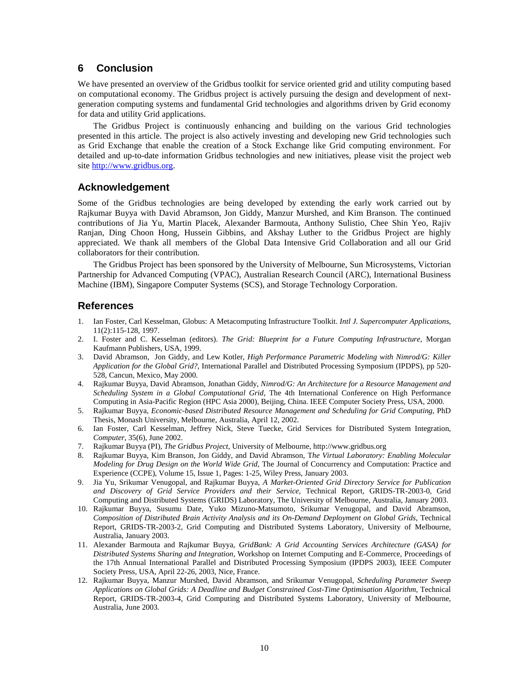## **6 Conclusion**

We have presented an overview of the Gridbus toolkit for service oriented grid and utility computing based on computational economy. The Gridbus project is actively pursuing the design and development of nextgeneration computing systems and fundamental Grid technologies and algorithms driven by Grid economy for data and utility Grid applications.

The Gridbus Project is continuously enhancing and building on the various Grid technologies presented in this article. The project is also actively investing and developing new Grid technologies such as Grid Exchange that enable the creation of a Stock Exchange like Grid computing environment. For detailed and up-to-date information Gridbus technologies and new initiatives, please visit the project web site http://www.gridbus.org.

### **Acknowledgement**

Some of the Gridbus technologies are being developed by extending the early work carried out by Rajkumar Buyya with David Abramson, Jon Giddy, Manzur Murshed, and Kim Branson. The continued contributions of Jia Yu, Martin Placek, Alexander Barmouta, Anthony Sulistio, Chee Shin Yeo, Rajiv Ranjan, Ding Choon Hong, Hussein Gibbins, and Akshay Luther to the Gridbus Project are highly appreciated. We thank all members of the Global Data Intensive Grid Collaboration and all our Grid collaborators for their contribution.

The Gridbus Project has been sponsored by the University of Melbourne, Sun Microsystems, Victorian Partnership for Advanced Computing (VPAC), Australian Research Council (ARC), International Business Machine (IBM), Singapore Computer Systems (SCS), and Storage Technology Corporation.

## **References**

- 1. Ian Foster, Carl Kesselman, Globus: A Metacomputing Infrastructure Toolkit. *Intl J. Supercomputer Applications*, 11(2):115-128, 1997.
- 2. I. Foster and C. Kesselman (editors). *The Grid: Blueprint for a Future Computing Infrastructure*, Morgan Kaufmann Publishers, USA, 1999.
- 3. David Abramson, Jon Giddy, and Lew Kotler, *High Performance Parametric Modeling with Nimrod/G: Killer Application for the Global Grid?*, International Parallel and Distributed Processing Symposium (IPDPS), pp 520- 528, Cancun, Mexico, May 2000.
- 4. Rajkumar Buyya, David Abramson, Jonathan Giddy, *Nimrod/G: An Architecture for a Resource Management and Scheduling System in a Global Computational Grid*, The 4th International Conference on High Performance Computing in Asia-Pacific Region (HPC Asia 2000), Beijing, China. IEEE Computer Society Press, USA, 2000.
- 5. Rajkumar Buyya, *Economic-based Distributed Resource Management and Scheduling for Grid Computing*, PhD Thesis, Monash University, Melbourne, Australia, April 12, 2002.
- 6. Ian Foster, Carl Kesselman, Jeffrey Nick, Steve Tuecke, Grid Services for Distributed System Integration, *Computer*, 35(6), June 2002.
- 7. Rajkumar Buyya (PI), *The Gridbus Project*, University of Melbourne, http://www.gridbus.org
- 8. Rajkumar Buyya, Kim Branson, Jon Giddy, and David Abramson, T*he Virtual Laboratory: Enabling Molecular Modeling for Drug Design on the World Wide Grid*, The Journal of Concurrency and Computation: Practice and Experience (CCPE), Volume 15, Issue 1, Pages: 1-25, Wiley Press, January 2003.
- 9. Jia Yu, Srikumar Venugopal, and Rajkumar Buyya, *A Market-Oriented Grid Directory Service for Publication and Discovery of Grid Service Providers and their Service*, Technical Report, GRIDS-TR-2003-0, Grid Computing and Distributed Systems (GRIDS) Laboratory, The University of Melbourne, Australia, January 2003.
- 10. Rajkumar Buyya, Susumu Date, Yuko Mizuno-Matsumoto, Srikumar Venugopal, and David Abramson, *Composition of Distributed Brain Activity Analysis and its On-Demand Deployment on Global Grids*, Technical Report, GRIDS-TR-2003-2, Grid Computing and Distributed Systems Laboratory, University of Melbourne, Australia, January 2003.
- 11. Alexander Barmouta and Rajkumar Buyya, *GridBank: A Grid Accounting Services Architecture (GASA) for Distributed Systems Sharing and Integration*, Workshop on Internet Computing and E-Commerce, Proceedings of the 17th Annual International Parallel and Distributed Processing Symposium (IPDPS 2003), IEEE Computer Society Press, USA, April 22-26, 2003, Nice, France.
- 12. Rajkumar Buyya, Manzur Murshed, David Abramson, and Srikumar Venugopal, *Scheduling Parameter Sweep Applications on Global Grids: A Deadline and Budget Constrained Cost-Time Optimisation Algorithm*, Technical Report, GRIDS-TR-2003-4, Grid Computing and Distributed Systems Laboratory, University of Melbourne, Australia, June 2003.